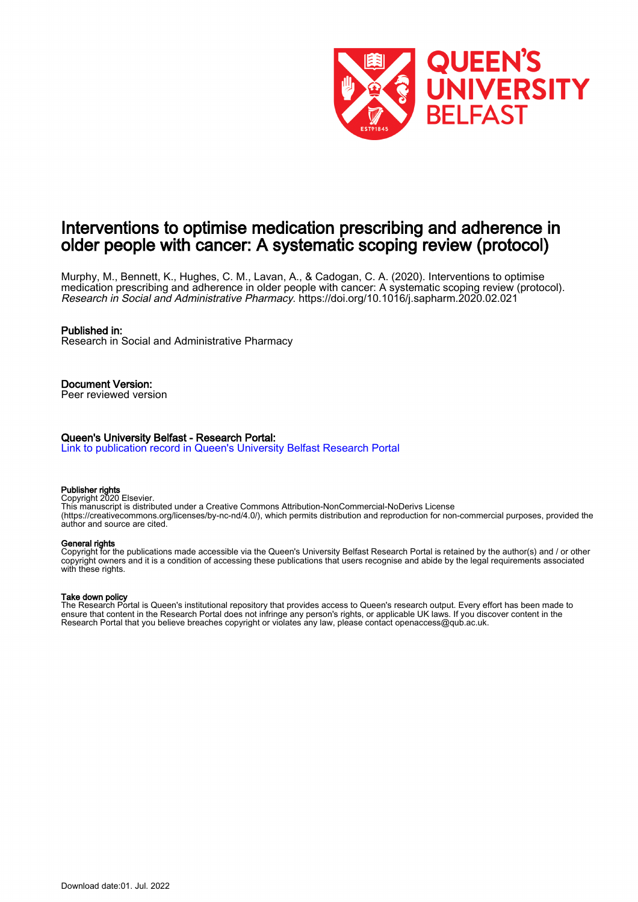

# Interventions to optimise medication prescribing and adherence in older people with cancer: A systematic scoping review (protocol)

Murphy, M., Bennett, K., Hughes, C. M., Lavan, A., & Cadogan, C. A. (2020). Interventions to optimise medication prescribing and adherence in older people with cancer: A systematic scoping review (protocol). Research in Social and Administrative Pharmacy. <https://doi.org/10.1016/j.sapharm.2020.02.021>

#### Published in:

Research in Social and Administrative Pharmacy

Document Version: Peer reviewed version

#### Queen's University Belfast - Research Portal:

[Link to publication record in Queen's University Belfast Research Portal](https://pure.qub.ac.uk/en/publications/7746ddb9-f97a-4d6e-aa3b-8133cc8c5ed6)

#### Publisher rights

Copyright 2020 Elsevier.

This manuscript is distributed under a Creative Commons Attribution-NonCommercial-NoDerivs License (https://creativecommons.org/licenses/by-nc-nd/4.0/), which permits distribution and reproduction for non-commercial purposes, provided the author and source are cited.

#### General rights

Copyright for the publications made accessible via the Queen's University Belfast Research Portal is retained by the author(s) and / or other copyright owners and it is a condition of accessing these publications that users recognise and abide by the legal requirements associated with these rights.

#### Take down policy

The Research Portal is Queen's institutional repository that provides access to Queen's research output. Every effort has been made to ensure that content in the Research Portal does not infringe any person's rights, or applicable UK laws. If you discover content in the Research Portal that you believe breaches copyright or violates any law, please contact openaccess@qub.ac.uk.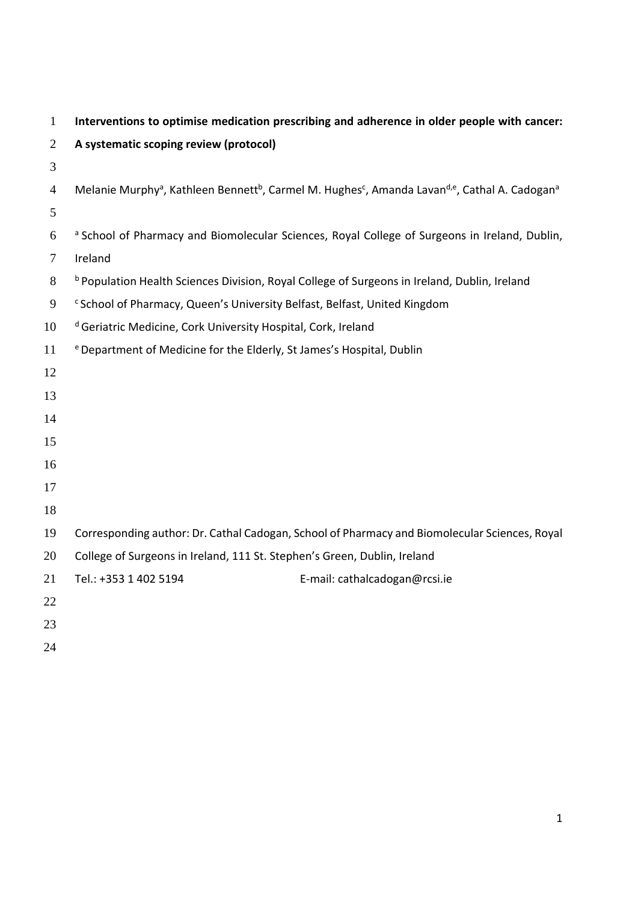| $\mathbf{1}$   | Interventions to optimise medication prescribing and adherence in older people with cancer:   |                                                                                                                                                            |
|----------------|-----------------------------------------------------------------------------------------------|------------------------------------------------------------------------------------------------------------------------------------------------------------|
| 2              | A systematic scoping review (protocol)                                                        |                                                                                                                                                            |
| 3              |                                                                                               |                                                                                                                                                            |
| $\overline{4}$ |                                                                                               | Melanie Murphy <sup>a</sup> , Kathleen Bennett <sup>b</sup> , Carmel M. Hughes <sup>c</sup> , Amanda Lavan <sup>d,e</sup> , Cathal A. Cadogan <sup>a</sup> |
| 5              |                                                                                               |                                                                                                                                                            |
| 6              |                                                                                               | <sup>a</sup> School of Pharmacy and Biomolecular Sciences, Royal College of Surgeons in Ireland, Dublin,                                                   |
| $\overline{7}$ | Ireland                                                                                       |                                                                                                                                                            |
| 8              | b Population Health Sciences Division, Royal College of Surgeons in Ireland, Dublin, Ireland  |                                                                                                                                                            |
| 9              | <sup>c</sup> School of Pharmacy, Queen's University Belfast, Belfast, United Kingdom          |                                                                                                                                                            |
| 10             | <sup>d</sup> Geriatric Medicine, Cork University Hospital, Cork, Ireland                      |                                                                                                                                                            |
| 11             | <sup>e</sup> Department of Medicine for the Elderly, St James's Hospital, Dublin              |                                                                                                                                                            |
| 12             |                                                                                               |                                                                                                                                                            |
| 13             |                                                                                               |                                                                                                                                                            |
| 14             |                                                                                               |                                                                                                                                                            |
| 15             |                                                                                               |                                                                                                                                                            |
| 16             |                                                                                               |                                                                                                                                                            |
| 17             |                                                                                               |                                                                                                                                                            |
| 18             |                                                                                               |                                                                                                                                                            |
| 19             | Corresponding author: Dr. Cathal Cadogan, School of Pharmacy and Biomolecular Sciences, Royal |                                                                                                                                                            |
| 20             | College of Surgeons in Ireland, 111 St. Stephen's Green, Dublin, Ireland                      |                                                                                                                                                            |
| 21             | Tel.: +353 1 402 5194                                                                         | E-mail: cathalcadogan@rcsi.ie                                                                                                                              |
| 22             |                                                                                               |                                                                                                                                                            |
| 23             |                                                                                               |                                                                                                                                                            |
| 24             |                                                                                               |                                                                                                                                                            |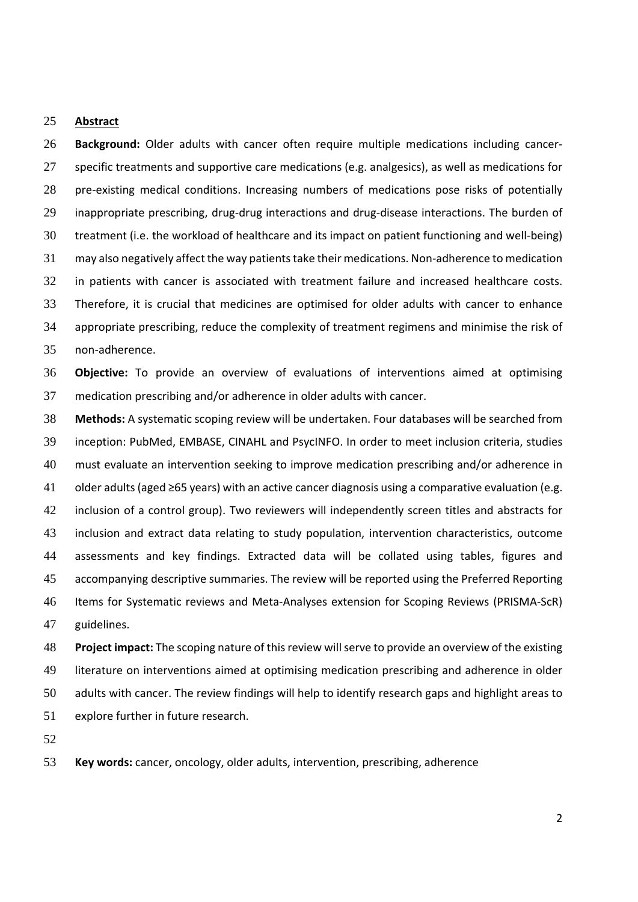### **Abstract**

**Background:** Older adults with cancer often require multiple medications including cancer‐ specific treatments and supportive care medications (e.g. analgesics), as well as medications for 28 pre-existing medical conditions. Increasing numbers of medications pose risks of potentially 29 inappropriate prescribing, drug-drug interactions and drug-disease interactions. The burden of treatment (i.e. the workload of healthcare and its impact on patient functioning and well‐being) 31 may also negatively affect the way patients take their medications. Non-adherence to medication in patients with cancer is associated with treatment failure and increased healthcare costs. Therefore, it is crucial that medicines are optimised for older adults with cancer to enhance appropriate prescribing, reduce the complexity of treatment regimens and minimise the risk of non‐adherence.

**Objective:** To provide an overview of evaluations of interventions aimed at optimising medication prescribing and/or adherence in older adults with cancer.

**Methods:** A systematic scoping review will be undertaken. Four databases will be searched from inception: PubMed, EMBASE, CINAHL and PsycINFO. In order to meet inclusion criteria, studies must evaluate an intervention seeking to improve medication prescribing and/or adherence in older adults(aged ≥65 years) with an active cancer diagnosis using a comparative evaluation (e.g. inclusion of a control group). Two reviewers will independently screen titles and abstracts for inclusion and extract data relating to study population, intervention characteristics, outcome assessments and key findings. Extracted data will be collated using tables, figures and accompanying descriptive summaries. The review will be reported using the Preferred Reporting Items for Systematic reviews and Meta‐Analyses extension for Scoping Reviews (PRISMA‐ScR) guidelines.

**Project impact:** The scoping nature of thisreview willserve to provide an overview of the existing literature on interventions aimed at optimising medication prescribing and adherence in older adults with cancer. The review findings will help to identify research gaps and highlight areas to explore further in future research.

**Key words:** cancer, oncology, older adults, intervention, prescribing, adherence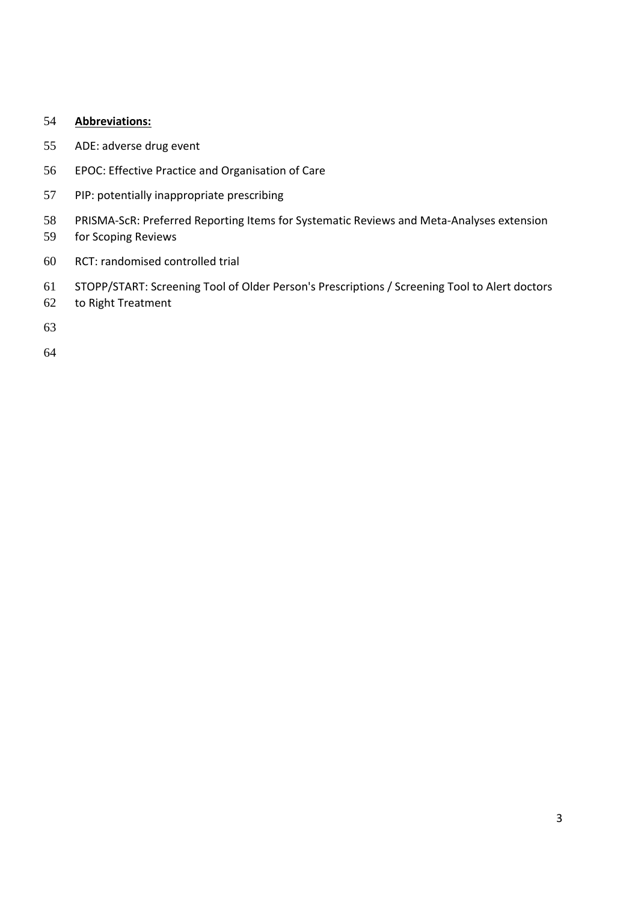# **Abbreviations:**

- ADE: adverse drug event
- EPOC: Effective Practice and Organisation of Care
- PIP: potentially inappropriate prescribing
- PRISMA‐ScR: Preferred Reporting Items for Systematic Reviews and Meta‐Analyses extension
- for Scoping Reviews
- RCT: randomised controlled trial
- STOPP/START: Screening Tool of Older Person's Prescriptions / Screening Tool to Alert doctors
- to Right Treatment
-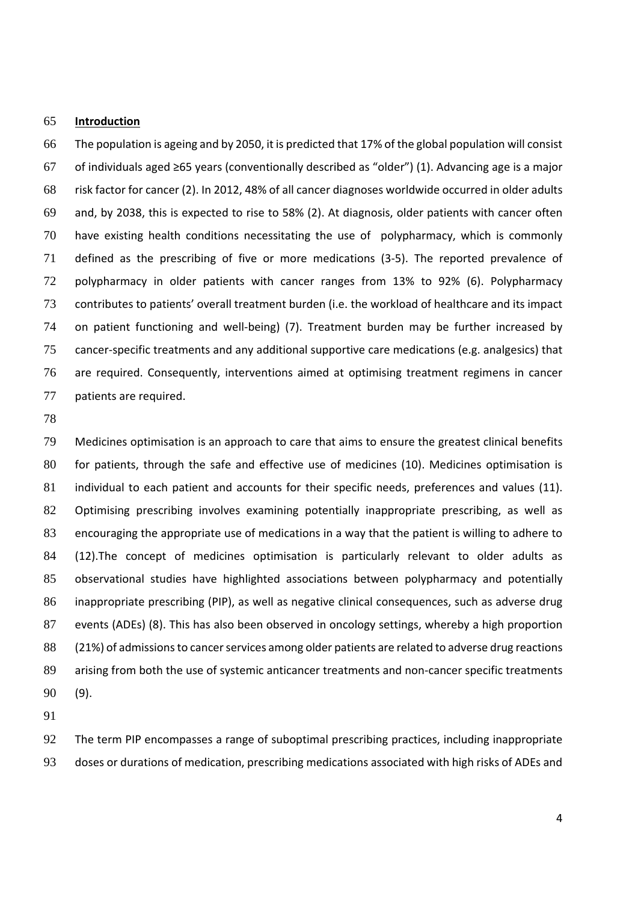### **Introduction**

The population is ageing and by 2050, it is predicted that 17% of the global population will consist of individuals aged ≥65 years (conventionally described as "older") (1). Advancing age is a major risk factor for cancer (2). In 2012, 48% of all cancer diagnoses worldwide occurred in older adults and, by 2038, this is expected to rise to 58% (2). At diagnosis, older patients with cancer often have existing health conditions necessitating the use of polypharmacy, which is commonly defined as the prescribing of five or more medications (3‐5). The reported prevalence of polypharmacy in older patients with cancer ranges from 13% to 92% (6). Polypharmacy contributes to patients' overall treatment burden (i.e. the workload of healthcare and its impact 74 on patient functioning and well-being) (7). Treatment burden may be further increased by cancer‐specific treatments and any additional supportive care medications (e.g. analgesics) that are required. Consequently, interventions aimed at optimising treatment regimens in cancer patients are required.

Medicines optimisation is an approach to care that aims to ensure the greatest clinical benefits for patients, through the safe and effective use of medicines (10). Medicines optimisation is 81 individual to each patient and accounts for their specific needs, preferences and values (11). 82 Optimising prescribing involves examining potentially inappropriate prescribing, as well as encouraging the appropriate use of medications in a way that the patient is willing to adhere to (12).The concept of medicines optimisation is particularly relevant to older adults as observational studies have highlighted associations between polypharmacy and potentially inappropriate prescribing (PIP), as well as negative clinical consequences, such as adverse drug events (ADEs) (8). This has also been observed in oncology settings, whereby a high proportion 88 (21%) of admissions to cancer services among older patients are related to adverse drug reactions 89 arising from both the use of systemic anticancer treatments and non-cancer specific treatments (9).

The term PIP encompasses a range of suboptimal prescribing practices, including inappropriate doses or durations of medication, prescribing medications associated with high risks of ADEs and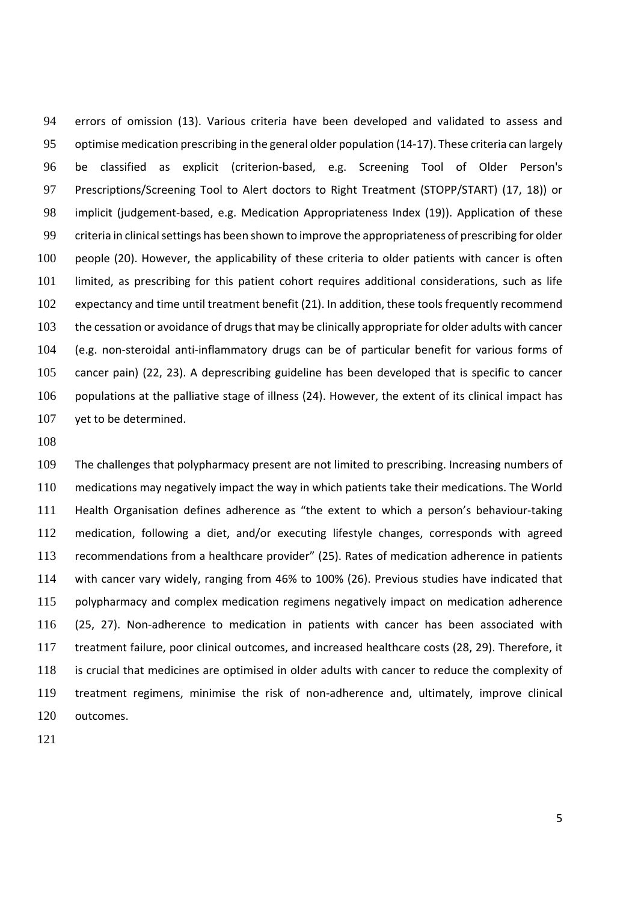errors of omission (13). Various criteria have been developed and validated to assess and 95 optimise medication prescribing in the general older population (14-17). These criteria can largely be classified as explicit (criterion‐based, e.g. Screening Tool of Older Person's Prescriptions/Screening Tool to Alert doctors to Right Treatment (STOPP/START) (17, 18)) or 98 implicit (judgement-based, e.g. Medication Appropriateness Index (19)). Application of these 99 criteria in clinical settings has been shown to improve the appropriateness of prescribing for older people (20). However, the applicability of these criteria to older patients with cancer is often limited, as prescribing for this patient cohort requires additional considerations, such as life expectancy and time until treatment benefit (21). In addition, these tools frequently recommend 103 the cessation or avoidance of drugs that may be clinically appropriate for older adults with cancer 104 (e.g. non-steroidal anti-inflammatory drugs can be of particular benefit for various forms of cancer pain) (22, 23). A deprescribing guideline has been developed that is specific to cancer populations at the palliative stage of illness (24). However, the extent of its clinical impact has 107 yet to be determined.

The challenges that polypharmacy present are not limited to prescribing. Increasing numbers of medications may negatively impact the way in which patients take their medications. The World 111 Health Organisation defines adherence as "the extent to which a person's behaviour-taking medication, following a diet, and/or executing lifestyle changes, corresponds with agreed recommendations from a healthcare provider" (25). Rates of medication adherence in patients with cancer vary widely, ranging from 46% to 100% (26). Previous studies have indicated that polypharmacy and complex medication regimens negatively impact on medication adherence 116 (25, 27). Non-adherence to medication in patients with cancer has been associated with treatment failure, poor clinical outcomes, and increased healthcare costs (28, 29). Therefore, it is crucial that medicines are optimised in older adults with cancer to reduce the complexity of 119 treatment regimens, minimise the risk of non-adherence and, ultimately, improve clinical outcomes.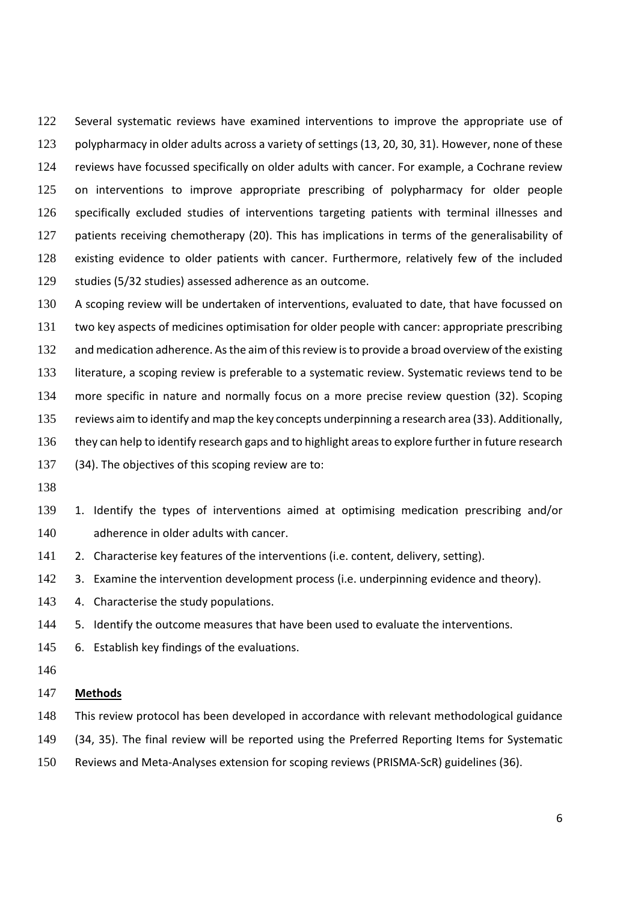122 Several systematic reviews have examined interventions to improve the appropriate use of polypharmacy in older adults across a variety of settings (13, 20, 30, 31). However, none of these 124 reviews have focussed specifically on older adults with cancer. For example, a Cochrane review 125 on interventions to improve appropriate prescribing of polypharmacy for older people specifically excluded studies of interventions targeting patients with terminal illnesses and 127 patients receiving chemotherapy (20). This has implications in terms of the generalisability of existing evidence to older patients with cancer. Furthermore, relatively few of the included studies (5/32 studies) assessed adherence as an outcome.

130 A scoping review will be undertaken of interventions, evaluated to date, that have focussed on two key aspects of medicines optimisation for older people with cancer: appropriate prescribing 132 and medication adherence. As the aim of this review is to provide a broad overview of the existing literature, a scoping review is preferable to a systematic review. Systematic reviews tend to be more specific in nature and normally focus on a more precise review question (32). Scoping reviews aim to identify and map the key concepts underpinning a research area (33). Additionally, 136 they can help to identify research gaps and to highlight areas to explore further in future research (34). The objectives of this scoping review are to:

- 
- 1. Identify the types of interventions aimed at optimising medication prescribing and/or adherence in older adults with cancer.
- 141 2. Characterise key features of the interventions (i.e. content, delivery, setting).
- 142 3. Examine the intervention development process (i.e. underpinning evidence and theory).
- 143 4. Characterise the study populations.
- 5. Identify the outcome measures that have been used to evaluate the interventions.
- 6. Establish key findings of the evaluations.
- 

### **Methods**

- This review protocol has been developed in accordance with relevant methodological guidance
- (34, 35). The final review will be reported using the Preferred Reporting Items for Systematic
- Reviews and Meta‐Analyses extension for scoping reviews (PRISMA‐ScR) guidelines (36).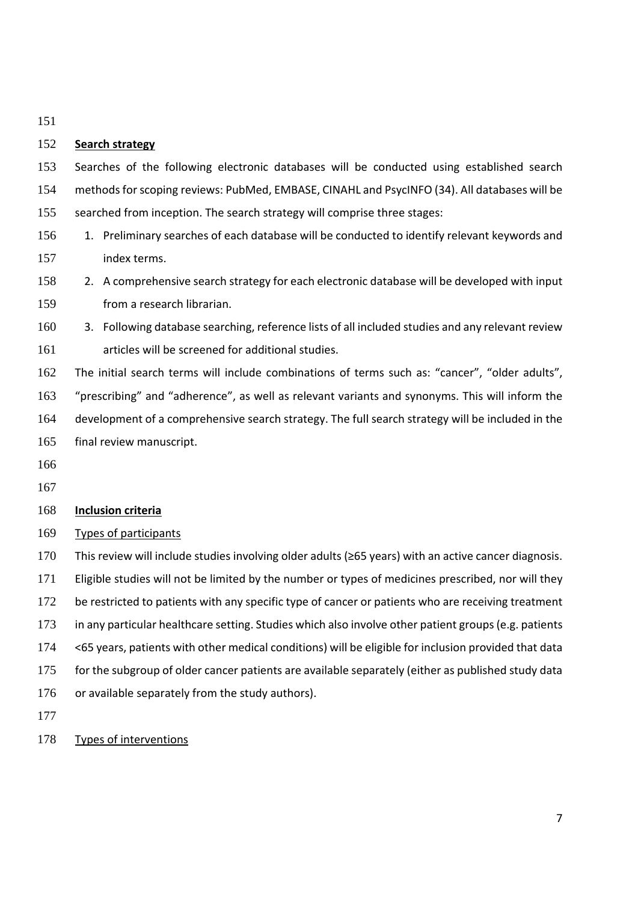# **Search strategy**

Searches of the following electronic databases will be conducted using established search 154 methods for scoping reviews: PubMed, EMBASE, CINAHL and PsycINFO (34). All databases will be searched from inception. The search strategy will comprise three stages:

- 156 1. Preliminary searches of each database will be conducted to identify relevant keywords and index terms.
- 2. A comprehensive search strategy for each electronic database will be developed with input from a research librarian.
- 3. Following database searching, reference lists of all included studies and any relevant review articles will be screened for additional studies.

The initial search terms will include combinations of terms such as: "cancer", "older adults", "prescribing" and "adherence", as well as relevant variants and synonyms. This will inform the development of a comprehensive search strategy. The full search strategy will be included in the final review manuscript.

- 
- 

# **Inclusion criteria**

# Types of participants

This review will include studies involving older adults (≥65 years) with an active cancer diagnosis. Eligible studies will not be limited by the number or types of medicines prescribed, nor will they 172 be restricted to patients with any specific type of cancer or patients who are receiving treatment in any particular healthcare setting. Studies which also involve other patient groups (e.g. patients <65 years, patients with other medical conditions) will be eligible for inclusion provided that data for the subgroup of older cancer patients are available separately (either as published study data 176 or available separately from the study authors). 

Types of interventions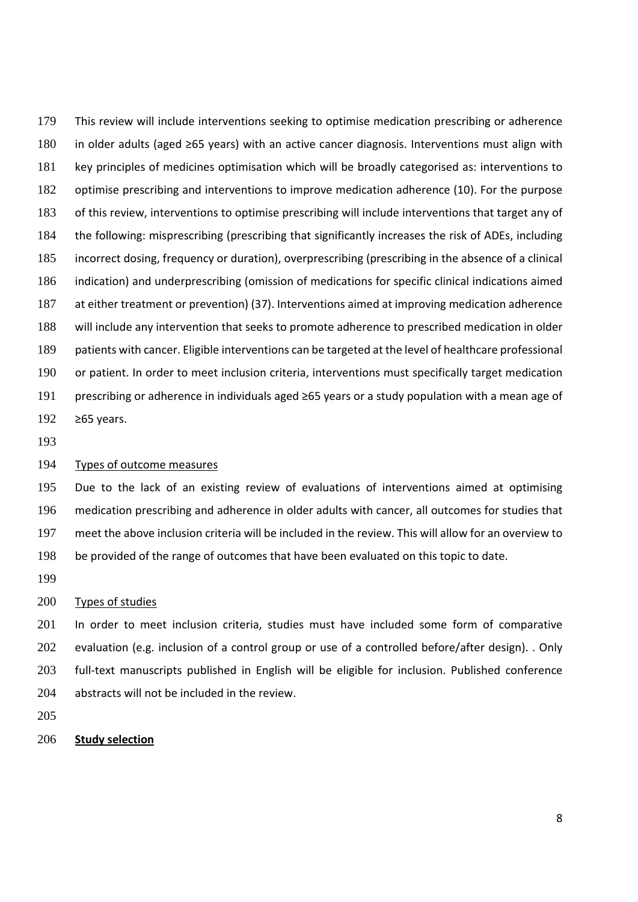This review will include interventions seeking to optimise medication prescribing or adherence in older adults (aged ≥65 years) with an active cancer diagnosis. Interventions must align with key principles of medicines optimisation which will be broadly categorised as: interventions to optimise prescribing and interventions to improve medication adherence (10). For the purpose of this review, interventions to optimise prescribing will include interventions that target any of the following: misprescribing (prescribing that significantly increases the risk of ADEs, including incorrect dosing, frequency or duration), overprescribing (prescribing in the absence of a clinical indication) and underprescribing (omission of medications for specific clinical indications aimed at either treatment or prevention) (37). Interventions aimed at improving medication adherence will include any intervention that seeks to promote adherence to prescribed medication in older patients with cancer. Eligible interventions can be targeted at the level of healthcare professional or patient. In order to meet inclusion criteria, interventions must specifically target medication prescribing or adherence in individuals aged ≥65 years or a study population with a mean age of ≥65 years.

# Types of outcome measures

Due to the lack of an existing review of evaluations of interventions aimed at optimising medication prescribing and adherence in older adults with cancer, all outcomes for studies that meet the above inclusion criteria will be included in the review. This will allow for an overview to be provided of the range of outcomes that have been evaluated on this topic to date.

#### Types of studies

In order to meet inclusion criteria, studies must have included some form of comparative evaluation (e.g. inclusion of a control group or use of a controlled before/after design). . Only 203 full-text manuscripts published in English will be eligible for inclusion. Published conference 204 abstracts will not be included in the review.

### **Study selection**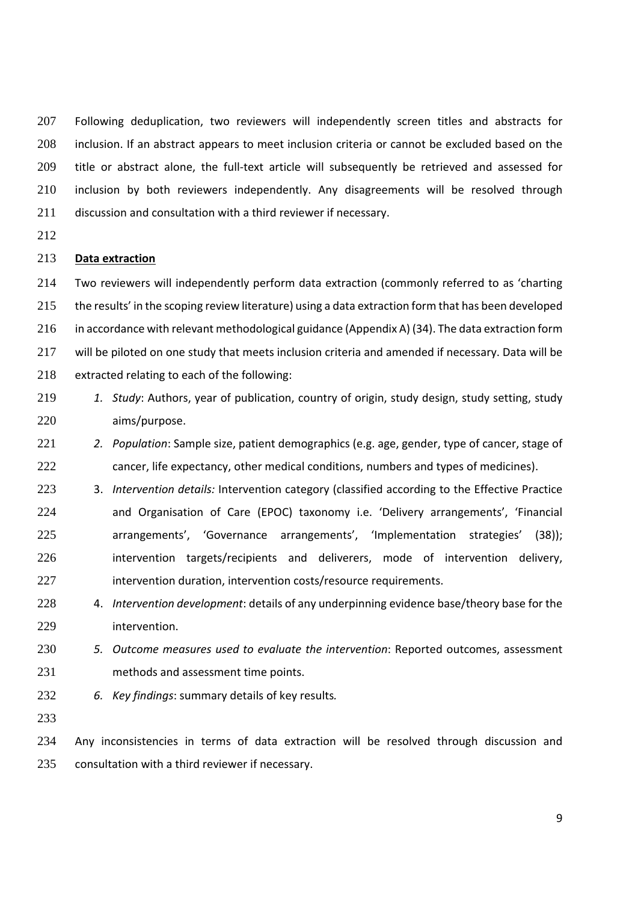207 Following deduplication, two reviewers will independently screen titles and abstracts for inclusion. If an abstract appears to meet inclusion criteria or cannot be excluded based on the 209 title or abstract alone, the full-text article will subsequently be retrieved and assessed for inclusion by both reviewers independently. Any disagreements will be resolved through discussion and consultation with a third reviewer if necessary.

### **Data extraction**

Two reviewers will independently perform data extraction (commonly referred to as 'charting the results' in the scoping review literature) using a data extraction form that has been developed in accordance with relevant methodological guidance (Appendix A) (34). The data extraction form will be piloted on one study that meets inclusion criteria and amended if necessary. Data will be extracted relating to each of the following:

- *1. Study*: Authors, year of publication, country of origin, study design, study setting, study aims/purpose.
- *2. Population*: Sample size, patient demographics (e.g. age, gender, type of cancer, stage of cancer, life expectancy, other medical conditions, numbers and types of medicines).
- 3. *Intervention details:* Intervention category (classified according to the Effective Practice and Organisation of Care (EPOC) taxonomy i.e. 'Delivery arrangements', 'Financial arrangements', 'Governance arrangements', 'Implementation strategies' (38)); 226 intervention targets/recipients and deliverers, mode of intervention delivery, 227 intervention duration, intervention costs/resource requirements.
- 4. *Intervention development*: details of any underpinning evidence base/theory base for the intervention.
- *5. Outcome measures used to evaluate the intervention*: Reported outcomes, assessment methods and assessment time points.
- *6. Key findings*: summary details of key results*.*

Any inconsistencies in terms of data extraction will be resolved through discussion and consultation with a third reviewer if necessary.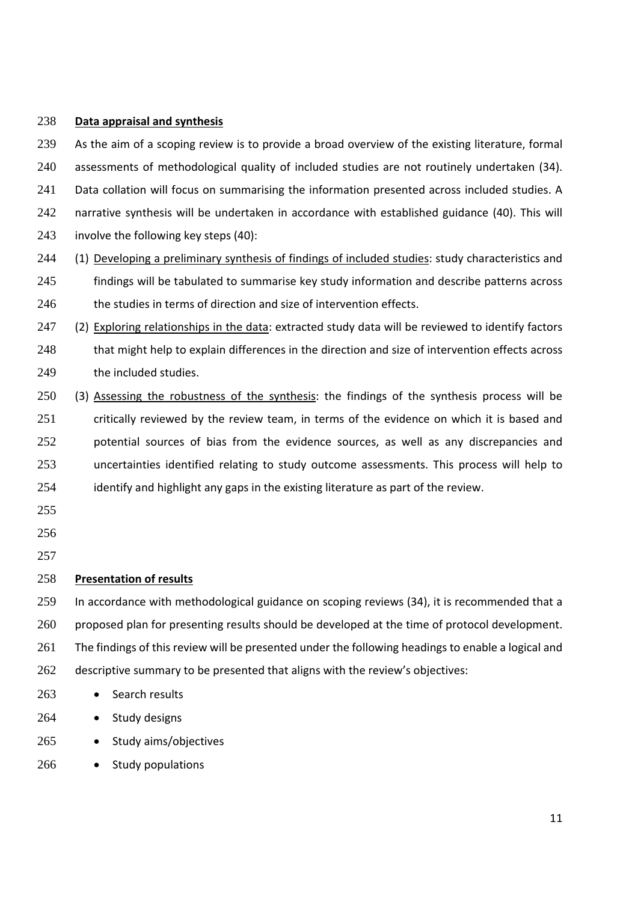# 238 **Data appraisal and synthesis**

239 As the aim of a scoping review is to provide a broad overview of the existing literature, formal 240 assessments of methodological quality of included studies are not routinely undertaken (34). 241 Data collation will focus on summarising the information presented across included studies. A 242 narrative synthesis will be undertaken in accordance with established guidance (40). This will 243 involve the following key steps (40): 244 (1) Developing a preliminary synthesis of findings of included studies: study characteristics and 245 findings will be tabulated to summarise key study information and describe patterns across 246 the studies in terms of direction and size of intervention effects. 247 (2) Exploring relationships in the data: extracted study data will be reviewed to identify factors 248 that might help to explain differences in the direction and size of intervention effects across 249 the included studies. 250 (3) Assessing the robustness of the synthesis: the findings of the synthesis process will be 251 critically reviewed by the review team, in terms of the evidence on which it is based and 252 potential sources of bias from the evidence sources, as well as any discrepancies and 253 uncertainties identified relating to study outcome assessments. This process will help to 254 identify and highlight any gaps in the existing literature as part of the review. 255 256 257 258 **Presentation of results** 259 In accordance with methodological guidance on scoping reviews (34), it is recommended that a 260 proposed plan for presenting results should be developed at the time of protocol development. 261 The findings of this review will be presented under the following headings to enable a logical and 262 descriptive summary to be presented that aligns with the review's objectives: 263 · Search results 264 • Study designs 265 • Study aims/objectives

266 • Study populations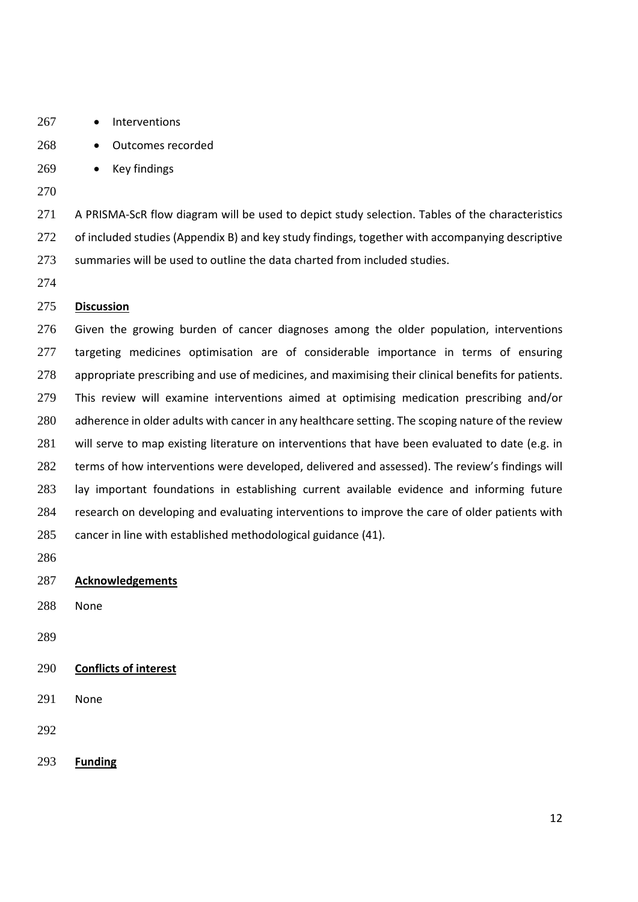- 267 Interventions
- 268 Outcomes recorded
- 269 Key findings
- 

271 A PRISMA-ScR flow diagram will be used to depict study selection. Tables of the characteristics of included studies (Appendix B) and key study findings, together with accompanying descriptive summaries will be used to outline the data charted from included studies.

# **Discussion**

Given the growing burden of cancer diagnoses among the older population, interventions 277 targeting medicines optimisation are of considerable importance in terms of ensuring appropriate prescribing and use of medicines, and maximising their clinical benefits for patients. This review will examine interventions aimed at optimising medication prescribing and/or 280 adherence in older adults with cancer in any healthcare setting. The scoping nature of the review 281 will serve to map existing literature on interventions that have been evaluated to date (e.g. in terms of how interventions were developed, delivered and assessed). The review's findings will lay important foundations in establishing current available evidence and informing future research on developing and evaluating interventions to improve the care of older patients with cancer in line with established methodological guidance (41).

- 
- **Acknowledgements**
- None
- 
- **Conflicts of interest**
- None
- 
- **Funding**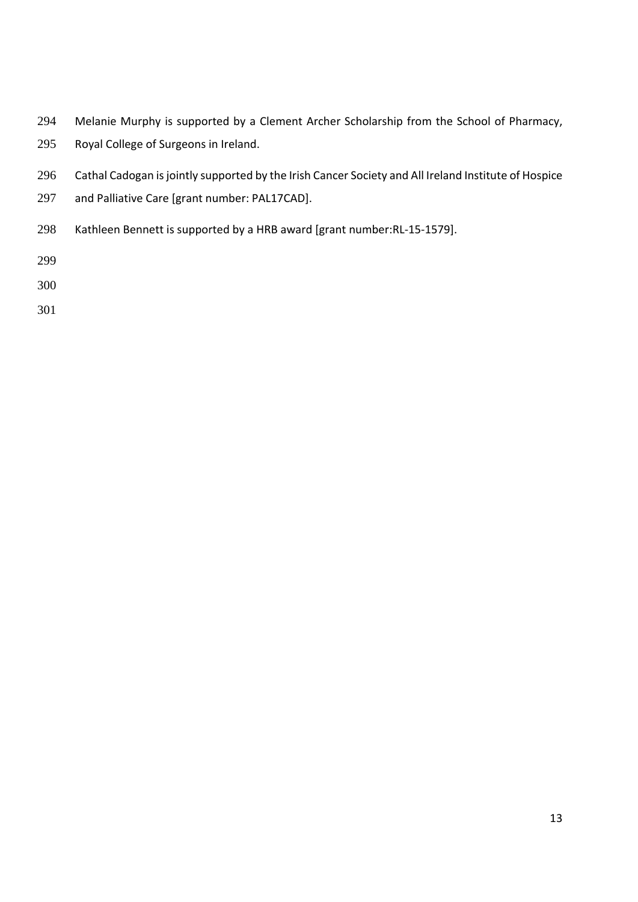- Melanie Murphy is supported by a Clement Archer Scholarship from the School of Pharmacy,
- Royal College of Surgeons in Ireland.
- Cathal Cadogan isjointly supported by the Irish Cancer Society and All Ireland Institute of Hospice
- and Palliative Care [grant number: PAL17CAD].
- 298 Kathleen Bennett is supported by a HRB award [grant number:RL-15-1579].

- 
-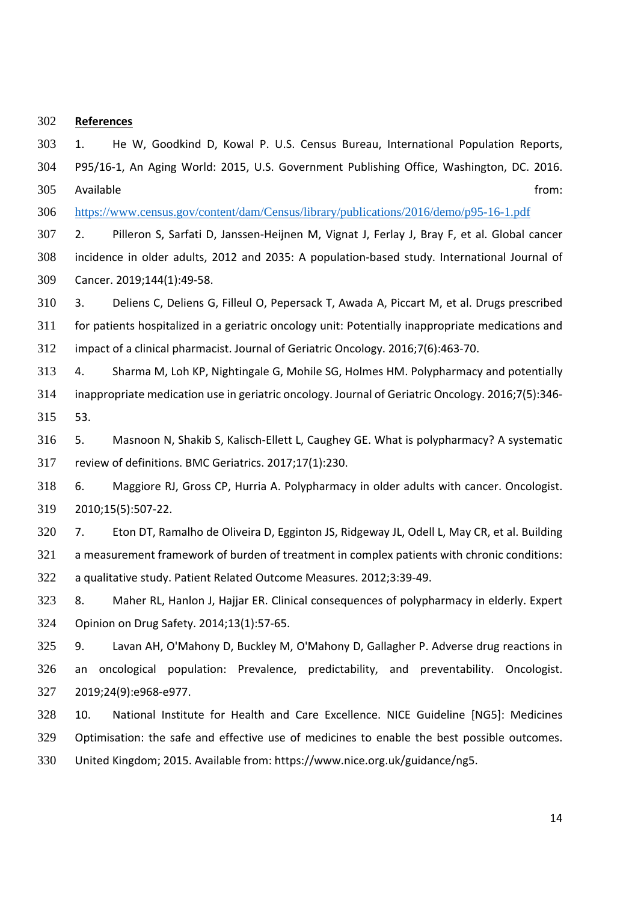### **References**

1. He W, Goodkind D, Kowal P. U.S. Census Bureau, International Population Reports, P95/16‐1, An Aging World: 2015, U.S. Government Publishing Office, Washington, DC. 2016. Available from:

306 https://www.census.gov/content/dam/Census/library/publications/2016/demo/p95-16-1.pdf

307 2. Pilleron S, Sarfati D, Janssen-Heijnen M, Vignat J, Ferlay J, Bray F, et al. Global cancer incidence in older adults, 2012 and 2035: A population‐based study. International Journal of Cancer. 2019;144(1):49‐58.

3. Deliens C, Deliens G, Filleul O, Pepersack T, Awada A, Piccart M, et al. Drugs prescribed for patients hospitalized in a geriatric oncology unit: Potentially inappropriate medications and impact of a clinical pharmacist. Journal of Geriatric Oncology. 2016;7(6):463‐70.

4. Sharma M, Loh KP, Nightingale G, Mohile SG, Holmes HM. Polypharmacy and potentially inappropriate medication use in geriatric oncology. Journal of Geriatric Oncology. 2016;7(5):346‐ 53.

316 5. Masnoon N, Shakib S, Kalisch-Ellett L, Caughey GE. What is polypharmacy? A systematic review of definitions. BMC Geriatrics. 2017;17(1):230.

6. Maggiore RJ, Gross CP, Hurria A. Polypharmacy in older adults with cancer. Oncologist. 2010;15(5):507‐22.

7. Eton DT, Ramalho de Oliveira D, Egginton JS, Ridgeway JL, Odell L, May CR, et al. Building a measurement framework of burden of treatment in complex patients with chronic conditions: a qualitative study. Patient Related Outcome Measures. 2012;3:39‐49.

8. Maher RL, Hanlon J, Hajjar ER. Clinical consequences of polypharmacy in elderly. Expert Opinion on Drug Safety. 2014;13(1):57‐65.

9. Lavan AH, O'Mahony D, Buckley M, O'Mahony D, Gallagher P. Adverse drug reactions in an oncological population: Prevalence, predictability, and preventability. Oncologist. 2019;24(9):e968‐e977.

10. National Institute for Health and Care Excellence. NICE Guideline [NG5]: Medicines Optimisation: the safe and effective use of medicines to enable the best possible outcomes. United Kingdom; 2015. Available from: https://www.nice.org.uk/guidance/ng5.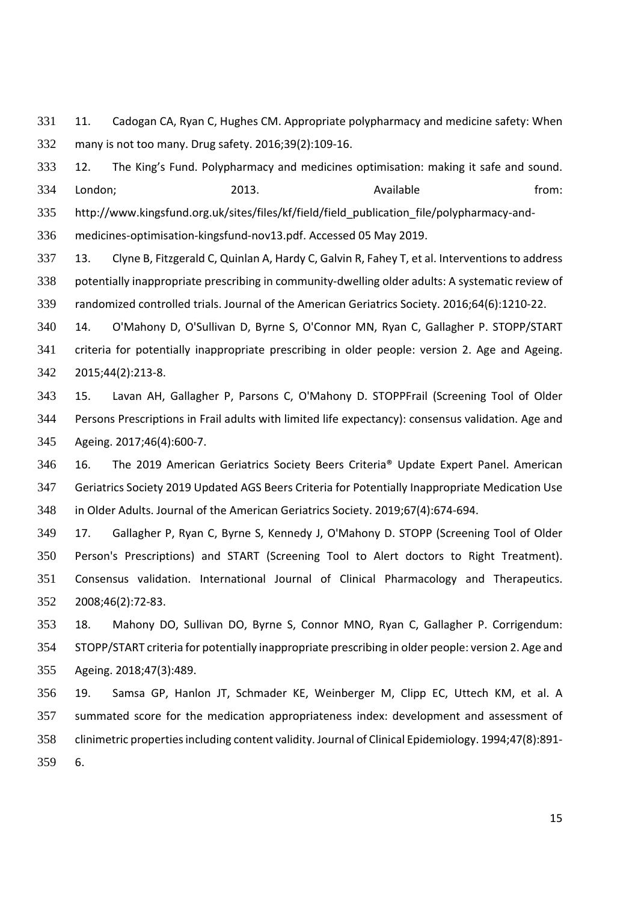11. Cadogan CA, Ryan C, Hughes CM. Appropriate polypharmacy and medicine safety: When many is not too many. Drug safety. 2016;39(2):109‐16.

12. The King's Fund. Polypharmacy and medicines optimisation: making it safe and sound. 334 London; 2013. 2013. Available homes are from: 335 http://www.kingsfund.org.uk/sites/files/kf/field/field publication file/polypharmacy-and-medicines‐optimisation‐kingsfund‐nov13.pdf. Accessed 05 May 2019.

13. Clyne B, Fitzgerald C, Quinlan A, Hardy C, Galvin R, Fahey T, et al. Interventions to address 338 potentially inappropriate prescribing in community-dwelling older adults: A systematic review of randomized controlled trials. Journal of the American Geriatrics Society. 2016;64(6):1210‐22.

14. O'Mahony D, O'Sullivan D, Byrne S, O'Connor MN, Ryan C, Gallagher P. STOPP/START criteria for potentially inappropriate prescribing in older people: version 2. Age and Ageing. 2015;44(2):213‐8.

15. Lavan AH, Gallagher P, Parsons C, O'Mahony D. STOPPFrail (Screening Tool of Older Persons Prescriptions in Frail adults with limited life expectancy): consensus validation. Age and Ageing. 2017;46(4):600‐7.

16. The 2019 American Geriatrics Society Beers Criteria® Update Expert Panel. American Geriatrics Society 2019 Updated AGS Beers Criteria for Potentially Inappropriate Medication Use in Older Adults. Journal of the American Geriatrics Society. 2019;67(4):674‐694.

17. Gallagher P, Ryan C, Byrne S, Kennedy J, O'Mahony D. STOPP (Screening Tool of Older Person's Prescriptions) and START (Screening Tool to Alert doctors to Right Treatment). Consensus validation. International Journal of Clinical Pharmacology and Therapeutics. 2008;46(2):72‐83.

18. Mahony DO, Sullivan DO, Byrne S, Connor MNO, Ryan C, Gallagher P. Corrigendum: STOPP/START criteria for potentially inappropriate prescribing in older people: version 2. Age and Ageing. 2018;47(3):489.

19. Samsa GP, Hanlon JT, Schmader KE, Weinberger M, Clipp EC, Uttech KM, et al. A summated score for the medication appropriateness index: development and assessment of 358 clinimetric properties including content validity. Journal of Clinical Epidemiology. 1994;47(8):891-6.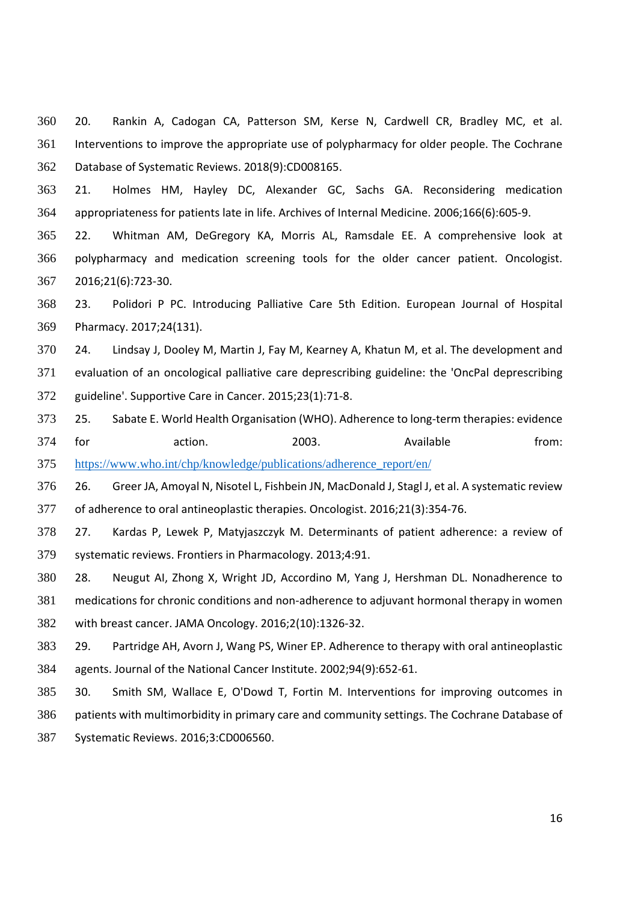20. Rankin A, Cadogan CA, Patterson SM, Kerse N, Cardwell CR, Bradley MC, et al. Interventions to improve the appropriate use of polypharmacy for older people. The Cochrane Database of Systematic Reviews. 2018(9):CD008165.

21. Holmes HM, Hayley DC, Alexander GC, Sachs GA. Reconsidering medication appropriateness for patients late in life. Archives of Internal Medicine. 2006;166(6):605‐9.

22. Whitman AM, DeGregory KA, Morris AL, Ramsdale EE. A comprehensive look at polypharmacy and medication screening tools for the older cancer patient. Oncologist. 2016;21(6):723‐30.

23. Polidori P PC. Introducing Palliative Care 5th Edition. European Journal of Hospital Pharmacy. 2017;24(131).

24. Lindsay J, Dooley M, Martin J, Fay M, Kearney A, Khatun M, et al. The development and evaluation of an oncological palliative care deprescribing guideline: the 'OncPal deprescribing guideline'. Supportive Care in Cancer. 2015;23(1):71‐8.

373 25. Sabate E. World Health Organisation (WHO). Adherence to long-term therapies: evidence 374 for action. 2003. Available from: 375 https://www.who.int/chp/knowledge/publications/adherence\_report/en/

26. Greer JA, Amoyal N, Nisotel L, Fishbein JN, MacDonald J, Stagl J, et al. A systematic review of adherence to oral antineoplastic therapies. Oncologist. 2016;21(3):354‐76.

27. Kardas P, Lewek P, Matyjaszczyk M. Determinants of patient adherence: a review of systematic reviews. Frontiers in Pharmacology. 2013;4:91.

28. Neugut AI, Zhong X, Wright JD, Accordino M, Yang J, Hershman DL. Nonadherence to 381 medications for chronic conditions and non-adherence to adjuvant hormonal therapy in women with breast cancer. JAMA Oncology. 2016;2(10):1326‐32.

29. Partridge AH, Avorn J, Wang PS, Winer EP. Adherence to therapy with oral antineoplastic agents. Journal of the National Cancer Institute. 2002;94(9):652‐61.

30. Smith SM, Wallace E, O'Dowd T, Fortin M. Interventions for improving outcomes in patients with multimorbidity in primary care and community settings. The Cochrane Database of Systematic Reviews. 2016;3:CD006560.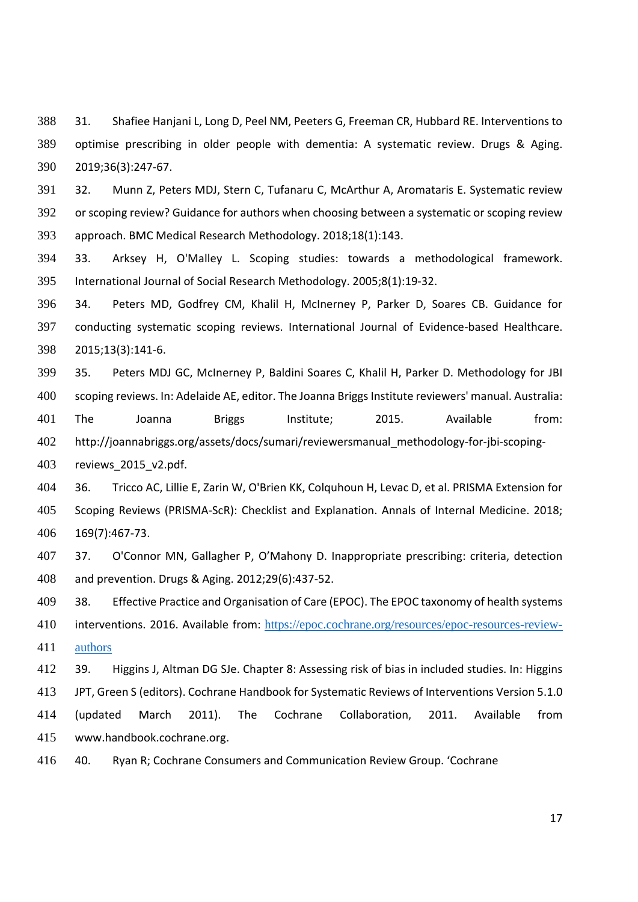31. Shafiee Hanjani L, Long D, Peel NM, Peeters G, Freeman CR, Hubbard RE. Interventions to optimise prescribing in older people with dementia: A systematic review. Drugs & Aging. 2019;36(3):247‐67.

32. Munn Z, Peters MDJ, Stern C, Tufanaru C, McArthur A, Aromataris E. Systematic review or scoping review? Guidance for authors when choosing between a systematic or scoping review approach. BMC Medical Research Methodology. 2018;18(1):143.

33. Arksey H, O'Malley L. Scoping studies: towards a methodological framework. International Journal of Social Research Methodology. 2005;8(1):19‐32.

34. Peters MD, Godfrey CM, Khalil H, McInerney P, Parker D, Soares CB. Guidance for conducting systematic scoping reviews. International Journal of Evidence‐based Healthcare. 2015;13(3):141‐6.

35. Peters MDJ GC, McInerney P, Baldini Soares C, Khalil H, Parker D. Methodology for JBI 400 scoping reviews. In: Adelaide AE, editor. The Joanna Briggs Institute reviewers' manual. Australia: The Joanna Briggs Institute; 2015. Available from: 402 http://joannabriggs.org/assets/docs/sumari/reviewersmanual\_methodology-for-jbi-scoping-reviews\_2015\_v2.pdf.

36. Tricco AC, Lillie E, Zarin W, O'Brien KK, Colquhoun H, Levac D, et al. PRISMA Extension for Scoping Reviews (PRISMA‐ScR): Checklist and Explanation. Annals of Internal Medicine. 2018; 169(7):467‐73.

37. O'Connor MN, Gallagher P, O'Mahony D. Inappropriate prescribing: criteria, detection and prevention. Drugs & Aging. 2012;29(6):437‐52.

409 38. Effective Practice and Organisation of Care (EPOC). The EPOC taxonomy of health systems

interventions. 2016. Available from: https://epoc.cochrane.org/resources/epoc-resources-review-411 authors

39. Higgins J, Altman DG SJe. Chapter 8: Assessing risk of bias in included studies. In: Higgins

JPT, Green S (editors). Cochrane Handbook for Systematic Reviews of Interventions Version 5.1.0

(updated March 2011). The Cochrane Collaboration, 2011. Available from www.handbook.cochrane.org.

40. Ryan R; Cochrane Consumers and Communication Review Group. 'Cochrane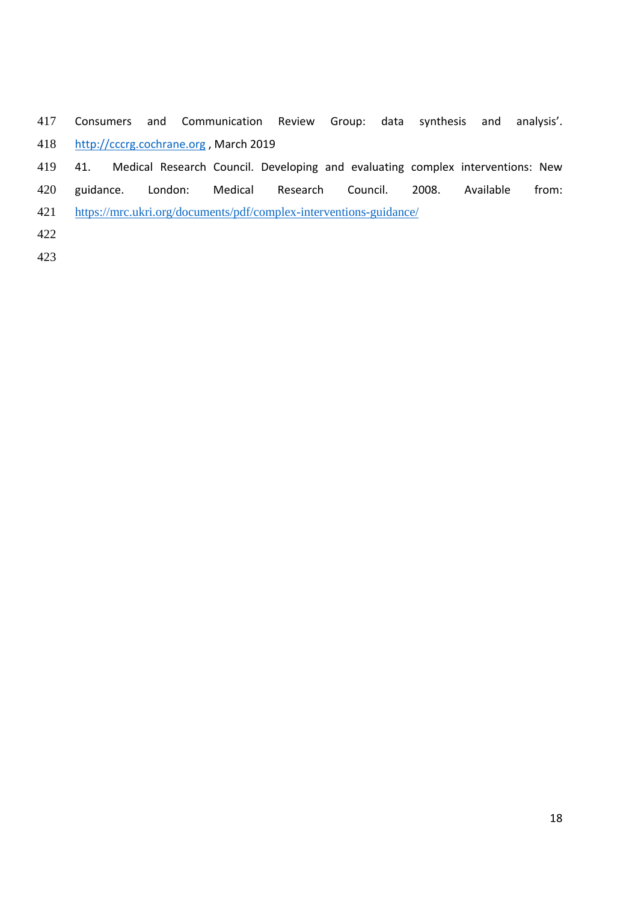- Consumers and Communication Review Group: data synthesis and analysis'. http://cccrg.cochrane.org , March 2019
- 41. Medical Research Council. Developing and evaluating complex interventions: New
- guidance. London: Medical Research Council. 2008. Available from:
- 421 https://mrc.ukri.org/documents/pdf/complex-interventions-guidance/
- 
-